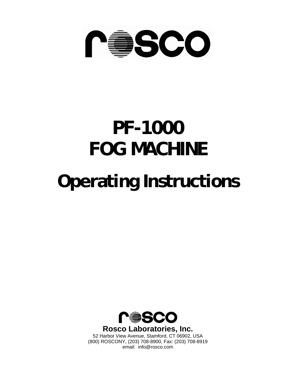

# **PF-1000 FOG MACHINE**

# **Operating Instructions**



**Rosco Laboratories, Inc.** 

52 Harbor View Avenue, Stamford, CT 06902, USA (800) ROSCONY, (203) 708-8900, Fax: (203) 708-8919 email: info@rosco.com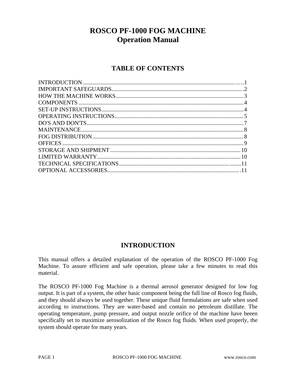# **ROSCO PF-1000 FOG MACHINE Operation Manual**

## **TABLE OF CONTENTS**

## **INTRODUCTION**

This manual offers a detailed explanation of the operation of the ROSCO PF-1000 Fog Machine. To assure efficient and safe operation, please take a few minutes to read this material.

The ROSCO PF-1000 Fog Machine is a thermal aerosol generator designed for low fog output. It is part of a system, the other basic component being the full line of Rosco fog fluids, and they should always be used together. These unique fluid formulations are safe when used according to instructions. They are water-based and contain no petroleum distillate. The operating temperature, pump pressure, and output nozzle orifice of the machine have beeen specifically set to maximize aerosolization of the Rosco fog fluids. When used properly, the system should operate for many years.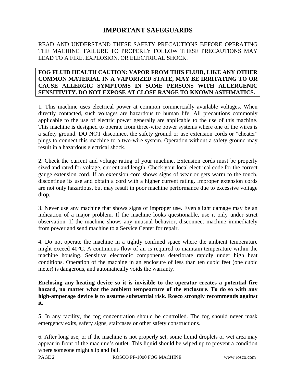## **IMPORTANT SAFEGUARDS**

## READ AND UNDERSTAND THESE SAFETY PRECAUTIONS BEFORE OPERATING THE MACHINE. FAILURE TO PROPERLY FOLLOW THESE PRECAUTIONS MAY LEAD TO A FIRE, EXPLOSION, OR ELECTRICAL SHOCK.

## **FOG FLUID HEALTH CAUTION: VAPOR FROM THIS FLUID, LIKE ANY OTHER COMMON MATERIAL IN A VAPORIZED STATE, MAY BE IRRITATING TO OR CAUSE ALLERGIC SYMPTOMS IN SOME PERSONS WITH ALLERGENIC SENSITIVITY. DO NOT EXPOSE AT CLOSE RANGE TO KNOWN ASTHMATICS.**

1. This machine uses electrical power at common commercially available voltages. When directly contacted, such voltages are hazardous to human life. All precautions commonly applicable to the use of electric power generally are applicable to the use of this machine. This machine is designed to operate from three-wire power systems where one of the wires is a safety ground. DO NOT disconnect the safety ground or use extension cords or "cheater" plugs to connect this machine to a two-wire system. Operation without a safety ground may result in a hazardous electrical shock.

2. Check the current and voltage rating of your machine. Extension cords must be properly sized and rated for voltage, current and length. Check your local electrical code for the correct gauge extension cord. If an extension cord shows signs of wear or gets warm to the touch, discontinue its use and obtain a cord with a higher current rating. Improper extension cords are not only hazardous, but may result in poor machine performance due to excessive voltage drop.

3. Never use any machine that shows signs of improper use. Even slight damage may be an indication of a major problem. If the machine looks questionable, use it only under strict observation. If the machine shows any unusual behavior, disconnect machine immediately from power and send machine to a Service Center for repair.

4. Do not operate the machine in a tightly confined space where the ambient temperature might exceed 40°C. A continuous flow of air is required to maintain temperature within the machine housing. Sensitive electronic components deteriorate rapidly under high heat conditions. Operation of the machine in an enclosure of less than ten cubic feet (one cubic meter) is dangerous, and automatically voids the warranty.

**Enclosing any heating device so it is invisible to the operator creates a potential fire hazard, no matter what the ambient tempearture of the enclosure. To do so with any high-amperage device is to assume substantial risk. Rosco strongly recommends against it.** 

5. In any facility, the fog concentration should be controlled. The fog should never mask emergency exits, safety signs, staircases or other safety constructions.

6. After long use, or if the machine is not properly set, some liquid droplets or wet area may appear in front of the machine's outlet. This liquid should be wiped up to prevent a condition where someone might slip and fall.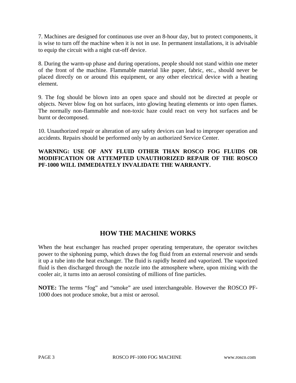7. Machines are designed for continuous use over an 8-hour day, but to protect components, it is wise to turn off the machine when it is not in use. In permanent installations, it is advisable to equip the circuit with a night cut-off device.

8. During the warm-up phase and during operations, people should not stand within one meter of the front of the machine. Flammable material like paper, fabric, etc., should never be placed directly on or around this equipment, or any other electrical device with a heating element.

9. The fog should be blown into an open space and should not be directed at people or objects. Never blow fog on hot surfaces, into glowing heating elements or into open flames. The normally non-flammable and non-toxic haze could react on very hot surfaces and be burnt or decomposed.

10. Unauthorized repair or alteration of any safety devices can lead to improper operation and accidents. Repairs should be performed only by an authorized Service Center.

## **WARNING: USE OF ANY FLUID OTHER THAN ROSCO FOG FLUIDS OR MODIFICATION OR ATTEMPTED UNAUTHORIZED REPAIR OF THE ROSCO PF-1000 WILL IMMEDIATELY INVALIDATE THE WARRANTY.**

## **HOW THE MACHINE WORKS**

When the heat exchanger has reached proper operating temperature, the operator switches power to the siphoning pump, which draws the fog fluid from an external reservoir and sends it up a tube into the heat exchanger. The fluid is rapidly heated and vaporized. The vaporized fluid is then discharged through the nozzle into the atmosphere where, upon mixing with the cooler air, it turns into an aerosol consisting of millions of fine particles.

**NOTE:** The terms "fog" and "smoke" are used interchangeable. However the ROSCO PF-1000 does not produce smoke, but a mist or aerosol.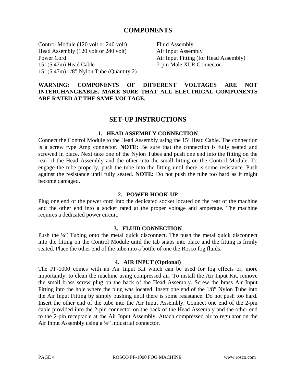## **COMPONENTS**

Control Module (120 volt or 240 volt) Head Assembly (120 volt or 240 volt) Power Cord 15' (5.47m) Head Cable 15' (5.47m) 1/8" Nylon Tube (Quantity 2)

Fluid Assembly Air Input Assembly Air Input Fitting (for Head Assembly) 7-pin Male XLR Connector

## **WARNING: COMPONENTS OF DIFFERENT VOLTAGES ARE NOT INTERCHANGEABLE. MAKE SURE THAT ALL ELECTRICAL COMPONENTS ARE RATED AT THE SAME VOLTAGE.**

## **SET-UP INSTRUCTIONS**

#### **1. HEAD ASSEMBLY CONNECTION**

Connect the Control Module to the Head Assembly using the 15' Head Cable. The connection is a screw type Amp connector. **NOTE:** Be sure that the connection is fully seated and screwed in place. Next take one of the Nylon Tubes and push one end into the fitting on the rear of the Head Assembly and the other into the small fitting on the Control Module. To engage the tube properly, push the tube into the fitting until there is some resistance. Push against the resistance until fully seated. **NOTE:** Do not push the tube too hard as it might become damaged.

#### **2. POWER HOOK-UP**

Plug one end of the power cord into the dedicated socket located on the rear of the machine and the other end into a socket rated at the proper voltage and amperage. The machine requires a dedicated power circuit.

#### **3. FLUID CONNECTION**

Push the ¼" Tubing onto the metal quick disconnect. The push the metal quick disconnect into the fitting on the Control Module until the tab snaps into place and the fitting is firmly seated. Place the other end of the tube into a bottle of one the Rosco fog fluids.

#### **4. AIR INPUT (Optional)**

The PF-1000 comes with an Air Input Kit which can be used for fog effects or, more importantly, to clean the machine using compressed air. To install the Air Input Kit, remove the small brass screw plug on the back of the Head Assembly. Screw the brass Air Input Fitting into the hole where the plug was located. Insert one end of the 1/8" Nylon Tube into the Air Input Fitting by simply pushing until there is some resistance. Do not push too hard. Insert the other end of the tube into the Air Input Assembly. Connect one end of the 2-pin cable provided into the 2-pin connector on the back of the Head Assembly and the other end to the 2-pin receptacle at the Air Input Assembly. Attach compressed air to regulator on the Air Input Assembly using a ¼" industrial connector.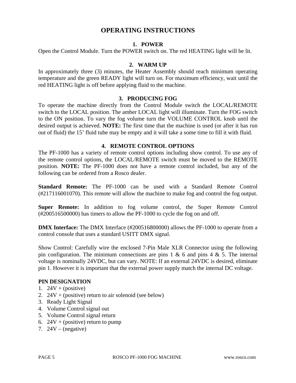## **OPERATING INSTRUCTIONS**

## **1. POWER**

Open the Control Module. Turn the POWER switch on. The red HEATING light will be lit.

#### **2. WARM UP**

In approximately three (3) minutes, the Heater Assembly should reach minimum operating temperature and the green READY light will turn on. For maximum efficiency, wait until the red HEATING light is off before applying fluid to the machine.

#### **3. PRODUCING FOG**

To operate the machine directly from the Control Module switch the LOCAL/REMOTE switch to the LOCAL position. The amber LOCAL light will illuminate. Turn the FOG switch to the ON position. To vary the fog volume turn the VOLUME CONTROL knob until the desired output is achieved. **NOTE:** The first time that the machine is used (or after it has run out of fluid) the 15' fluid tube may be empty and it will take a some time to fill it with fluid.

#### **4. REMOTE CONTROL OPTIONS**

The PF-1000 has a variety of remote control options including show control. To use any of the remote control options, the LOCAL/REMOTE switch must be moved to the REMOTE position. **NOTE:** The PF-1000 does not have a remote control included, but any of the following can be ordered from a Rosco dealer.

**Standard Remote:** The PF-1000 can be used with a Standard Remote Control (#217116001070). This remote will allow the machine to make fog and control the fog output.

**Super Remote:** In addition to fog volume control, the Super Remote Control (#200516500000) has timers to allow the PF-1000 to cycle the fog on and off.

**DMX Interface:** The DMX Interface (#200516800000) allows the PF-1000 to operate from a control console that uses a standard USITT DMX signal.

Show Control: Carefully wire the enclosed 7-Pin Male XLR Connector using the following pin configuration. The minimum connections are pins  $1 \& 6$  and pins  $4 \& 5$ . The internal voltage is nominally 24VDC, but can vary. NOTE: If an external 24VDC is desired, eliminate pin 1. However it is important that the external power supply match the internal DC voltage.

#### **PIN DESIGNATION**

- 1.  $24V + (positive)$
- 2.  $24V + (positive)$  return to air solenoid (see below)
- 3. Ready Light Signal
- 4. Volume Control signal out
- 5. Volume Control signal return
- 6.  $24V + (positive)$  return to pump
- 7.  $24V (negative)$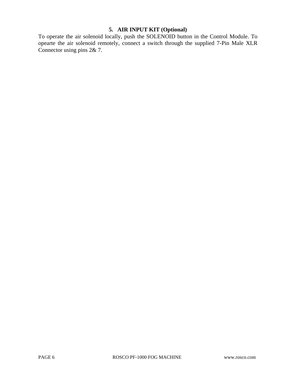## **5. AIR INPUT KIT (Optional)**

To operate the air solenoid locally, push the SOLENOID button in the Control Module. To opearte the air solenoid remotely, connect a switch through the supplied 7-Pin Male XLR Connector using pins 2& 7.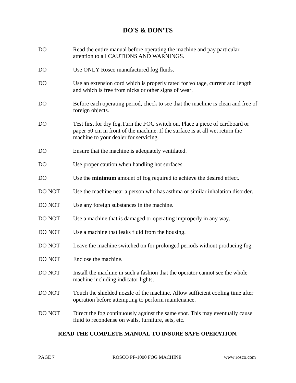## **DO'S & DON'TS**

- DO Read the entire manual before operating the machine and pay particular attention to all CAUTIONS AND WARNINGS.
- DO Use ONLY Rosco manufactured fog fluids.
- DO Use an extension cord which is properly rated for voltage, current and length and which is free from nicks or other signs of wear.
- DO Before each operating period, check to see that the machine is clean and free of foreign objects.
- DO Test first for dry fog.Turn the FOG switch on. Place a piece of cardboard or paper 50 cm in front of the machine. If the surface is at all wet return the machine to your dealer for servicing.
- DO Ensure that the machine is adequately ventilated.
- DO Use proper caution when handling hot surfaces
- DO Use the **minimum** amount of fog required to achieve the desired effect.
- DO NOT Use the machine near a person who has asthma or similar inhalation disorder.
- DO NOT Use any foreign substances in the machine.
- DO NOT Use a machine that is damaged or operating improperly in any way.
- DO NOT Use a machine that leaks fluid from the housing.
- DO NOT Leave the machine switched on for prolonged periods without producing fog.
- DO NOT Enclose the machine.
- DO NOT Install the machine in such a fashion that the operator cannot see the whole machine including indicator lights.
- DO NOT Touch the shielded nozzle of the machine. Allow sufficient cooling time after operation before attempting to perform maintenance.
- DO NOT Direct the fog continuously against the same spot. This may eventually cause fluid to recondense on walls, furniture, sets, etc.

## **READ THE COMPLETE MANUAL TO INSURE SAFE OPERATION.**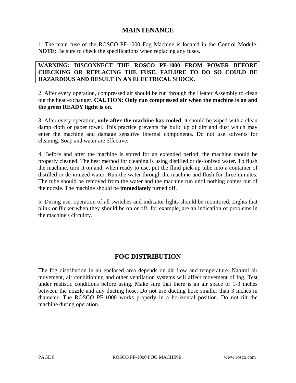## **MAINTENANCE**

1. The main fuse of the ROSCO PF-1000 Fog Machine is located in the Control Module. **NOTE:** Be sure to check the specifications when replacing any fuses.

## **WARNING: DISCONNECT THE ROSCO PF-1000 FROM POWER BEFORE CHECKING OR REPLACING THE FUSE. FAILURE TO DO SO COULD BE HAZARDOUS AND RESULT IN AN ELECTRICAL SHOCK.**

2. After every operation, compressed air should be run through the Heater Assembly to clean out the heat exchanger. **CAUTION: Only run compressed air when the machine is on and the green READY ligtht is on.**

3. After every operation, **only after the machine has cooled**, it should be wiped with a clean damp cloth or paper towel. This practice prevents the build up of dirt and dust which may enter the machine and damage sensitive internal components. Do not use solvents for cleaning. Soap and water are effective.

4. Before and after the machine is stored for an extended period, the machine should be properly cleaned. The best method for cleaning is using distilled or de-ionized water. To flush the machine, turn it on and, when ready to use, put the fluid pick-up tube into a container of distilled or de-ionized water. Run the water through the machine and flush for three minutes. The tube should be removed from the water and the machine run until nothing comes out of the nozzle. The machine should be **immediately** turned off.

5. During use, operation of all switches and indicator lights should be monitored. Lights that blink or flicker when they should be on or off, for example, are an indication of problems in the machine's circuitry.

## **FOG DISTRIBUTION**

The fog distribution in an enclosed area depends on air flow and temperature. Natural air movement, air conditioning and other ventilation systems will affect movement of fog. Test under realistic conditions before using. Make sure that there is an air space of 1-3 inches between the nozzle and any ducting hose. Do not use ducting hose smaller than 3 inches in diameter. The ROSCO PF-1000 works properly in a horizontal position. Do not tilt the machine during operation.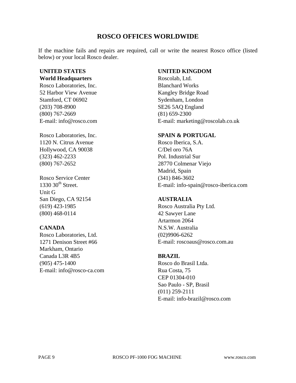## **ROSCO OFFICES WORLDWIDE**

If the machine fails and repairs are required, call or write the nearest Rosco office (listed below) or your local Rosco dealer.

## **UNITED STATES**

## **World Headquarters**

Rosco Laboratories, Inc. 52 Harbor View Avenue Stamford, CT 06902 (203) 708-8900 (800) 767-2669 E-mail: info@rosco.com

Rosco Laboratories, Inc. 1120 N. Citrus Avenue Hollywood, CA 90038 (323) 462-2233 (800) 767-2652

Rosco Service Center  $1330$   $30<sup>th</sup>$  Street. Unit G San Diego, CA 92154 (619) 423-1985 (800) 468-0114

## **CANADA**

Rosco Laboratories, Ltd. 1271 Denison Street #66 Markham, Ontario Canada L3R 4B5 (905) 475-1400 E-mail: info@rosco-ca.com

## **UNITED KINGDOM**

Roscolab, Ltd. Blanchard Works Kangley Bridge Road Sydenham, London SE26 5AQ England (81) 659-2300 E-mail: marketing@roscolab.co.uk

## **SPAIN & PORTUGAL**

Rosco Iberica, S.A. C/Del oro 76A Pol. Industrial Sur 28770 Colmenar Viejo Madrid, Spain (341) 846-3602 E-mail: info-spain@rosco-iberica.com

## **AUSTRALIA**

Rosco Australia Pty Ltd. 42 Sawyer Lane Artarmon 2064 N.S.W. Australia (02)9906-6262 E-mail: roscoaus@rosco.com.au

## **BRAZIL**

Rosco do Brasil Ltda. Rua Costa, 75 CEP 01304-010 Sao Paulo - SP, Brasil (011) 259-2111 E-mail: info-brazil@rosco.com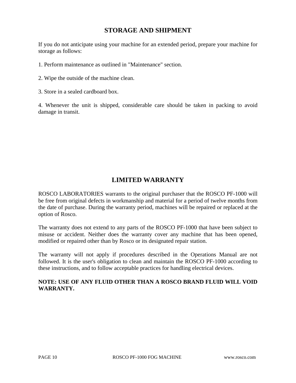## **STORAGE AND SHIPMENT**

If you do not anticipate using your machine for an extended period, prepare your machine for storage as follows:

1. Perform maintenance as outlined in "Maintenance" section.

- 2. Wipe the outside of the machine clean.
- 3. Store in a sealed cardboard box.

4. Whenever the unit is shipped, considerable care should be taken in packing to avoid damage in transit.

## **LIMITED WARRANTY**

ROSCO LABORATORIES warrants to the original purchaser that the ROSCO PF-1000 will be free from original defects in workmanship and material for a period of twelve months from the date of purchase. During the warranty period, machines will be repaired or replaced at the option of Rosco.

The warranty does not extend to any parts of the ROSCO PF-1000 that have been subject to misuse or accident. Neither does the warranty cover any machine that has been opened, modified or repaired other than by Rosco or its designated repair station.

The warranty will not apply if procedures described in the Operations Manual are not followed. It is the user's obligation to clean and maintain the ROSCO PF-1000 according to these instructions, and to follow acceptable practices for handling electrical devices.

## **NOTE: USE OF ANY FLUID OTHER THAN A ROSCO BRAND FLUID WILL VOID WARRANTY.**